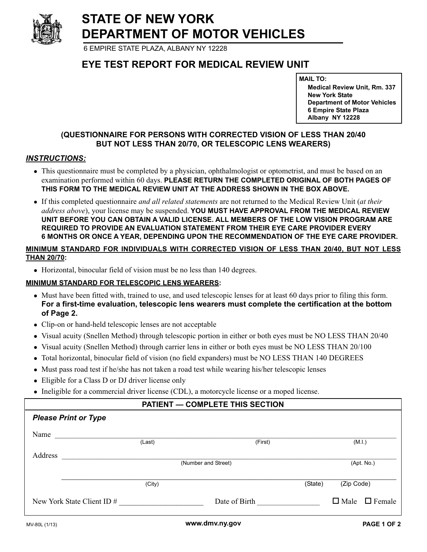**STATE OF NEW YORK DEPARTMENT OF MOTOR VEHICLES**

6 EMPIRE STATE PLAZA, ALBANY NY 12228

# **EYE TEST REPORT FOR MEDICAL REVIEW UNIT**

**MAIL TO:**

**Medical Review Unit, Rm. 337 New York State Department of Motor Vehicles 6 Empire State Plaza Albany NY 12228**

## **(QUESTIONNAIRE FOR PERSONS WITH CORRECTED VISION OF LESS THAN 20/40 BUT NOT LESS THAN 20/70, OR TELESCOPIC LENS WEARERS)**

### *INSTRUCTIONS:*

- This questionnaire must be completed by a physician, ophthalmologist or optometrist, and must be based on an examination performed within 60 days. **PLEASE RETURN THE COMPLETED ORIGINAL OF BOTH PAGES OF THIS FORM TO THE MEDICAL REVIEW UNIT AT THE ADDRESS SHOWN IN THE BOX ABOVE.**
- If this completed questionnaire *and all related statements* are not returned to the Medical Review Unit (*at their address above*), your license may be suspended. **YOU MUST HAVE APPROVAL FROM THE MEDICAL REVIEW UNIT BEFORE YOU CAN OBTAIN A VALID LICENSE. ALL MEMBERS OF THE LOW VISION PROGRAM ARE REQUIRED TO PROVIDE AN EVALUATION STATEMENT FROM THEIR EYE CARE PROVIDER EVERY 6 MONTHS OR ONCE A YEAR, DEPENDING UPON THE RECOMMENDATION OF THE EYE CARE PROVIDER.**

#### **MINIMUM STANDARD FOR INDIVIDUALS WITH CORRECTED VISION OF LESS THAN 20/40, BUT NOT LESS THAN 20/70:**

- Horizontal, binocular field of vision must be no less than 140 degrees.

#### **MINIMUM STANDARD FOR TELESCOPIC LENS WEARERS:**

- Must have been fitted with, trained to use, and used telescopic lenses for at least 60 days prior to filing this form. **For a first-time evaluation, telescopic lens wearers must complete the certification at the bottom of Page 2.**
- Clip-on or hand-held telescopic lenses are not acceptable
- Visual acuity (Snellen Method) through telescopic portion in either or both eyes must be NO LESS THAN 20/40
- Visual acuity (Snellen Method) through carrier lens in either or both eyes must be NO LESS THAN 20/100
- Total horizontal, binocular field of vision (no field expanders) must be NO LESS THAN 140 DEGREES
- Must pass road test if he/she has not taken a road test while wearing his/her telescopic lenses
- Eligible for a Class D or DJ driver license only
- Ineligible for a commercial driver license (CDL), a motorcycle license or a moped license.

#### **PATIENT — COMPLETE THIS SECTION**

## *Please Print or Type*

| Name                       |        |                     |                           |
|----------------------------|--------|---------------------|---------------------------|
|                            | (Last) | (First)             | (M.I.)                    |
| Address                    |        |                     |                           |
|                            |        | (Number and Street) | (Apt. No.)                |
|                            |        |                     |                           |
|                            | (City) | (State)             | (Zip Code)                |
| New York State Client ID # |        | Date of Birth       | $\Box$ Male $\Box$ Female |